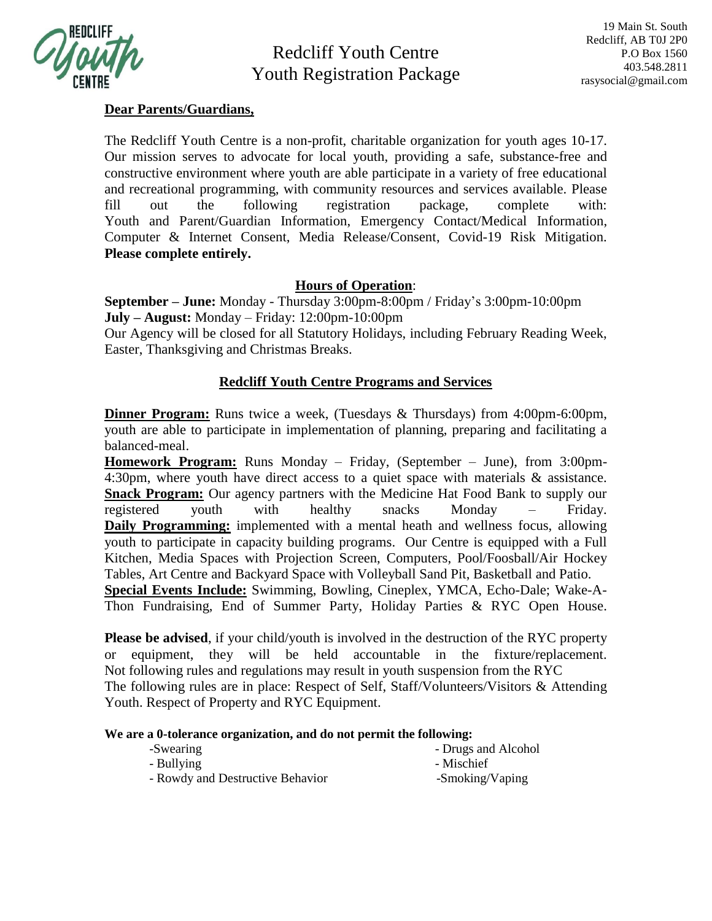

Redcliff Youth Centre Youth Registration Package

## **Dear Parents/Guardians,**

The Redcliff Youth Centre is a non-profit, charitable organization for youth ages 10-17. Our mission serves to advocate for local youth, providing a safe, substance-free and constructive environment where youth are able participate in a variety of free educational and recreational programming, with community resources and services available. Please fill out the following registration package, complete with: Youth and Parent/Guardian Information, Emergency Contact/Medical Information, Computer & Internet Consent, Media Release/Consent, Covid-19 Risk Mitigation. **Please complete entirely.**

# **Hours of Operation**:

**September – June:** Monday - Thursday 3:00pm-8:00pm / Friday's 3:00pm-10:00pm **July – August:** Monday – Friday: 12:00pm-10:00pm Our Agency will be closed for all Statutory Holidays, including February Reading Week, Easter, Thanksgiving and Christmas Breaks.

# **Redcliff Youth Centre Programs and Services**

**Dinner Program:** Runs twice a week, (Tuesdays & Thursdays) from 4:00pm-6:00pm, youth are able to participate in implementation of planning, preparing and facilitating a balanced-meal.

**Homework Program:** Runs Monday – Friday, (September – June), from 3:00pm-4:30pm, where youth have direct access to a quiet space with materials & assistance. **Snack Program:** Our agency partners with the Medicine Hat Food Bank to supply our registered youth with healthy snacks Monday – Friday. **Daily Programming:** implemented with a mental heath and wellness focus, allowing youth to participate in capacity building programs. Our Centre is equipped with a Full Kitchen, Media Spaces with Projection Screen, Computers, Pool/Foosball/Air Hockey Tables, Art Centre and Backyard Space with Volleyball Sand Pit, Basketball and Patio. **Special Events Include:** Swimming, Bowling, Cineplex, YMCA, Echo-Dale; Wake-A-Thon Fundraising, End of Summer Party, Holiday Parties & RYC Open House.

**Please be advised**, if your child/youth is involved in the destruction of the RYC property or equipment, they will be held accountable in the fixture/replacement. Not following rules and regulations may result in youth suspension from the RYC The following rules are in place: Respect of Self, Staff/Volunteers/Visitors & Attending Youth. Respect of Property and RYC Equipment.

#### **We are a 0-tolerance organization, and do not permit the following:**

| -Swearing                        |  |  | - Drugs and Alcohol |
|----------------------------------|--|--|---------------------|
| - Bullying                       |  |  | - Mischief          |
| - Rowdy and Destructive Behavior |  |  | -Smoking/Vaping     |
|                                  |  |  |                     |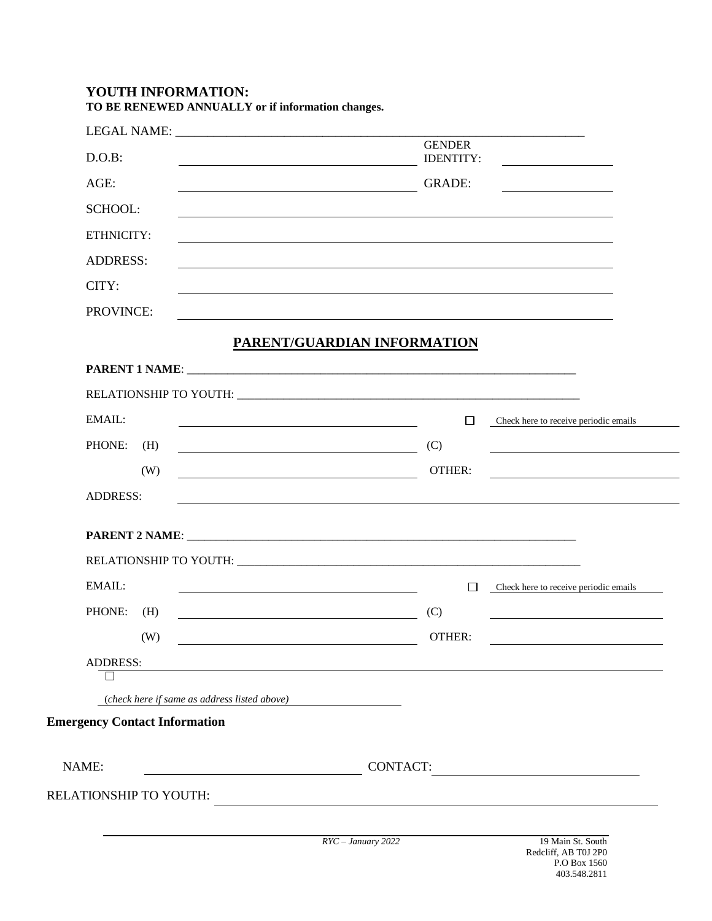## **YOUTH INFORMATION: TO BE RENEWED ANNUALLY or if information changes.**

| D.O.B:<br><b>IDENTITY:</b><br><u> 1980 - Johann Barbara, martin a</u><br><u> 1989 - Johann Barbara, martin amerikan basar dan berasal dan berasal dalam basar dalam basar dalam basar dala</u><br>AGE:<br><b>GRADE:</b><br><u> 1989 - Johann Stone, mars et al. 1989 - Anna ann an t-Anna ann an t-Anna ann an t-Anna ann an t-Anna ann an t-</u><br><b>SCHOOL:</b><br>ETHNICITY:<br><b>ADDRESS:</b><br>CITY:<br>PROVINCE:<br>PARENT/GUARDIAN INFORMATION<br>RELATIONSHIP TO YOUTH: University of the contract of the contract of the contract of the contract of the contract of the contract of the contract of the contract of the contract of the contract of the contract of the contr<br>EMAIL:<br>$\Box$<br>Check here to receive periodic emails<br><u> 1980 - Johann Barbara, martin amerikan basar dan basa dan basar dan basar dalam basa dalam basa dalam basa da</u><br>PHONE:<br>(C)<br>(H)<br><u> 1989 - Johann Barbara, martxa alemaniar politik (</u><br><u> 1989 - Johann Stein, mars an deus Amerikaansk kommunister (</u><br>(W)<br>OTHER:<br><u> 2008 - Johann Barnett, fransk politik (d. 18</u><br><b>ADDRESS:</b><br>EMAIL:<br>Check here to receive periodic emails<br>$\Box$<br>PHONE:<br>(H)<br>(C)<br><u> 1989 - Johann Barnett, fransk politiker (</u><br>the contract of the contract of the contract of the contract of the contract of<br>OTHER:<br>(W)<br><u> 1980 - Johann Barn, mars eta bainar eta baina eta baina eta baina eta baina eta baina eta baina eta baina e</u><br><b>ADDRESS:</b> |               |  |
|-----------------------------------------------------------------------------------------------------------------------------------------------------------------------------------------------------------------------------------------------------------------------------------------------------------------------------------------------------------------------------------------------------------------------------------------------------------------------------------------------------------------------------------------------------------------------------------------------------------------------------------------------------------------------------------------------------------------------------------------------------------------------------------------------------------------------------------------------------------------------------------------------------------------------------------------------------------------------------------------------------------------------------------------------------------------------------------------------------------------------------------------------------------------------------------------------------------------------------------------------------------------------------------------------------------------------------------------------------------------------------------------------------------------------------------------------------------------------------------------------------------------------------------|---------------|--|
|                                                                                                                                                                                                                                                                                                                                                                                                                                                                                                                                                                                                                                                                                                                                                                                                                                                                                                                                                                                                                                                                                                                                                                                                                                                                                                                                                                                                                                                                                                                                   | <b>GENDER</b> |  |
|                                                                                                                                                                                                                                                                                                                                                                                                                                                                                                                                                                                                                                                                                                                                                                                                                                                                                                                                                                                                                                                                                                                                                                                                                                                                                                                                                                                                                                                                                                                                   |               |  |
|                                                                                                                                                                                                                                                                                                                                                                                                                                                                                                                                                                                                                                                                                                                                                                                                                                                                                                                                                                                                                                                                                                                                                                                                                                                                                                                                                                                                                                                                                                                                   |               |  |
|                                                                                                                                                                                                                                                                                                                                                                                                                                                                                                                                                                                                                                                                                                                                                                                                                                                                                                                                                                                                                                                                                                                                                                                                                                                                                                                                                                                                                                                                                                                                   |               |  |
|                                                                                                                                                                                                                                                                                                                                                                                                                                                                                                                                                                                                                                                                                                                                                                                                                                                                                                                                                                                                                                                                                                                                                                                                                                                                                                                                                                                                                                                                                                                                   |               |  |
|                                                                                                                                                                                                                                                                                                                                                                                                                                                                                                                                                                                                                                                                                                                                                                                                                                                                                                                                                                                                                                                                                                                                                                                                                                                                                                                                                                                                                                                                                                                                   |               |  |
|                                                                                                                                                                                                                                                                                                                                                                                                                                                                                                                                                                                                                                                                                                                                                                                                                                                                                                                                                                                                                                                                                                                                                                                                                                                                                                                                                                                                                                                                                                                                   |               |  |
|                                                                                                                                                                                                                                                                                                                                                                                                                                                                                                                                                                                                                                                                                                                                                                                                                                                                                                                                                                                                                                                                                                                                                                                                                                                                                                                                                                                                                                                                                                                                   |               |  |
|                                                                                                                                                                                                                                                                                                                                                                                                                                                                                                                                                                                                                                                                                                                                                                                                                                                                                                                                                                                                                                                                                                                                                                                                                                                                                                                                                                                                                                                                                                                                   |               |  |
|                                                                                                                                                                                                                                                                                                                                                                                                                                                                                                                                                                                                                                                                                                                                                                                                                                                                                                                                                                                                                                                                                                                                                                                                                                                                                                                                                                                                                                                                                                                                   |               |  |
|                                                                                                                                                                                                                                                                                                                                                                                                                                                                                                                                                                                                                                                                                                                                                                                                                                                                                                                                                                                                                                                                                                                                                                                                                                                                                                                                                                                                                                                                                                                                   |               |  |
|                                                                                                                                                                                                                                                                                                                                                                                                                                                                                                                                                                                                                                                                                                                                                                                                                                                                                                                                                                                                                                                                                                                                                                                                                                                                                                                                                                                                                                                                                                                                   |               |  |
|                                                                                                                                                                                                                                                                                                                                                                                                                                                                                                                                                                                                                                                                                                                                                                                                                                                                                                                                                                                                                                                                                                                                                                                                                                                                                                                                                                                                                                                                                                                                   |               |  |
|                                                                                                                                                                                                                                                                                                                                                                                                                                                                                                                                                                                                                                                                                                                                                                                                                                                                                                                                                                                                                                                                                                                                                                                                                                                                                                                                                                                                                                                                                                                                   |               |  |
|                                                                                                                                                                                                                                                                                                                                                                                                                                                                                                                                                                                                                                                                                                                                                                                                                                                                                                                                                                                                                                                                                                                                                                                                                                                                                                                                                                                                                                                                                                                                   |               |  |
|                                                                                                                                                                                                                                                                                                                                                                                                                                                                                                                                                                                                                                                                                                                                                                                                                                                                                                                                                                                                                                                                                                                                                                                                                                                                                                                                                                                                                                                                                                                                   |               |  |
|                                                                                                                                                                                                                                                                                                                                                                                                                                                                                                                                                                                                                                                                                                                                                                                                                                                                                                                                                                                                                                                                                                                                                                                                                                                                                                                                                                                                                                                                                                                                   |               |  |
|                                                                                                                                                                                                                                                                                                                                                                                                                                                                                                                                                                                                                                                                                                                                                                                                                                                                                                                                                                                                                                                                                                                                                                                                                                                                                                                                                                                                                                                                                                                                   |               |  |
|                                                                                                                                                                                                                                                                                                                                                                                                                                                                                                                                                                                                                                                                                                                                                                                                                                                                                                                                                                                                                                                                                                                                                                                                                                                                                                                                                                                                                                                                                                                                   |               |  |
|                                                                                                                                                                                                                                                                                                                                                                                                                                                                                                                                                                                                                                                                                                                                                                                                                                                                                                                                                                                                                                                                                                                                                                                                                                                                                                                                                                                                                                                                                                                                   |               |  |
|                                                                                                                                                                                                                                                                                                                                                                                                                                                                                                                                                                                                                                                                                                                                                                                                                                                                                                                                                                                                                                                                                                                                                                                                                                                                                                                                                                                                                                                                                                                                   |               |  |
| (check here if same as address listed above)                                                                                                                                                                                                                                                                                                                                                                                                                                                                                                                                                                                                                                                                                                                                                                                                                                                                                                                                                                                                                                                                                                                                                                                                                                                                                                                                                                                                                                                                                      |               |  |
|                                                                                                                                                                                                                                                                                                                                                                                                                                                                                                                                                                                                                                                                                                                                                                                                                                                                                                                                                                                                                                                                                                                                                                                                                                                                                                                                                                                                                                                                                                                                   |               |  |
| <b>Emergency Contact Information</b><br>NAME:<br><b>CONTACT:</b>                                                                                                                                                                                                                                                                                                                                                                                                                                                                                                                                                                                                                                                                                                                                                                                                                                                                                                                                                                                                                                                                                                                                                                                                                                                                                                                                                                                                                                                                  |               |  |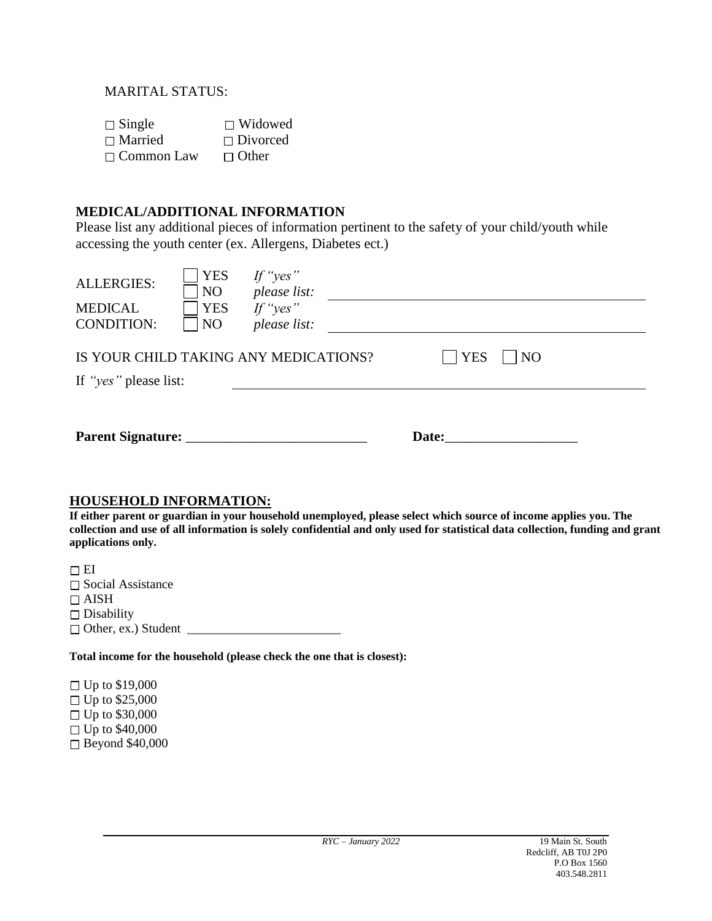### MARITAL STATUS:

| $\Box$ Single     | $\Box$ Widowed  |
|-------------------|-----------------|
| $\Box$ Married    | $\Box$ Divorced |
| $\Box$ Common Law | $\Box$ Other    |

## **MEDICAL/ADDITIONAL INFORMATION**

Please list any additional pieces of information pertinent to the safety of your child/youth while accessing the youth center (ex. Allergens, Diabetes ect.)

| <b>ALLERGIES:</b><br><b>MEDICAL</b><br><b>CONDITION:</b> | <b>YES</b><br>N <sub>O</sub><br><b>YES</b><br>N <sub>O</sub>                                       | If "yes"<br>please list:<br>If "yes"<br>please list: |  |       |  |  |  |  |
|----------------------------------------------------------|----------------------------------------------------------------------------------------------------|------------------------------------------------------|--|-------|--|--|--|--|
|                                                          | <b>YES</b><br><b>NO</b><br>IS YOUR CHILD TAKING ANY MEDICATIONS?<br>If " <i>yes</i> " please list: |                                                      |  |       |  |  |  |  |
| Parent Signature: __                                     |                                                                                                    |                                                      |  | Date: |  |  |  |  |

#### **HOUSEHOLD INFORMATION:**

**If either parent or guardian in your household unemployed, please select which source of income applies you. The collection and use of all information is solely confidential and only used for statistical data collection, funding and grant applications only.**

 $\Box$ EI  $\square$  Social Assistance  $\Box$  AISH  $\square$  Disability  $\Box$  Other, ex.) Student  $\Box$ 

**Total income for the household (please check the one that is closest):**

Up to \$19,000  $\Box$  Up to \$25,000 Up to \$30,000 Up to \$40,000 Beyond \$40,000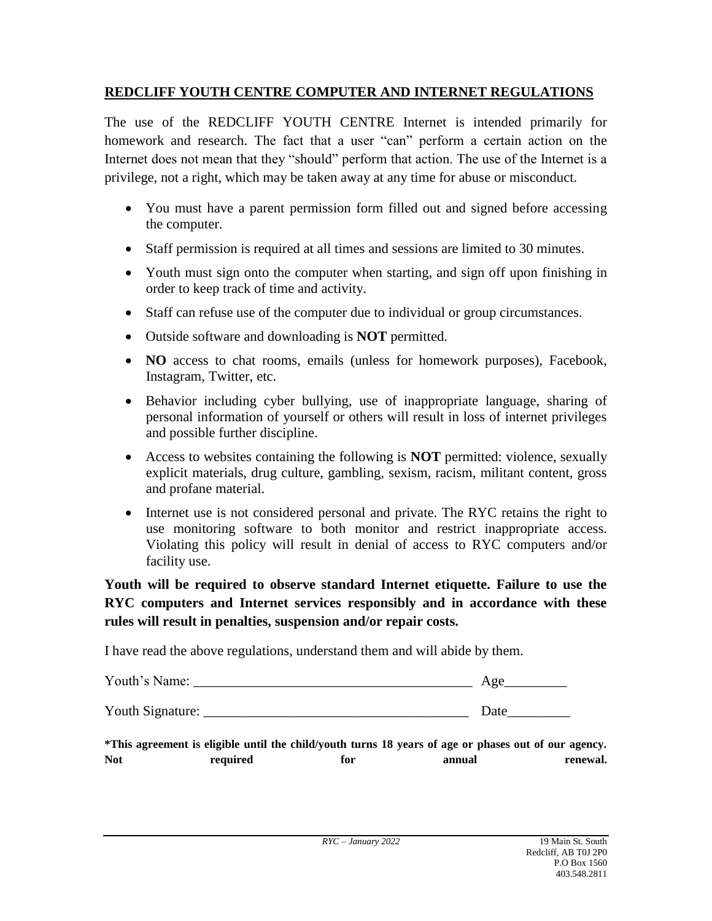# **REDCLIFF YOUTH CENTRE COMPUTER AND INTERNET REGULATIONS**

The use of the REDCLIFF YOUTH CENTRE Internet is intended primarily for homework and research. The fact that a user "can" perform a certain action on the Internet does not mean that they "should" perform that action. The use of the Internet is a privilege, not a right, which may be taken away at any time for abuse or misconduct.

- You must have a parent permission form filled out and signed before accessing the computer.
- Staff permission is required at all times and sessions are limited to 30 minutes.
- Youth must sign onto the computer when starting, and sign off upon finishing in order to keep track of time and activity.
- Staff can refuse use of the computer due to individual or group circumstances.
- Outside software and downloading is **NOT** permitted.
- **NO** access to chat rooms, emails (unless for homework purposes), Facebook, Instagram, Twitter, etc.
- Behavior including cyber bullying, use of inappropriate language, sharing of personal information of yourself or others will result in loss of internet privileges and possible further discipline.
- Access to websites containing the following is **NOT** permitted: violence, sexually explicit materials, drug culture, gambling, sexism, racism, militant content, gross and profane material.
- Internet use is not considered personal and private. The RYC retains the right to use monitoring software to both monitor and restrict inappropriate access. Violating this policy will result in denial of access to RYC computers and/or facility use.

**Youth will be required to observe standard Internet etiquette. Failure to use the RYC computers and Internet services responsibly and in accordance with these rules will result in penalties, suspension and/or repair costs.**

I have read the above regulations, understand them and will abide by them.

| Youth's N<br>Name: |  |
|--------------------|--|
|                    |  |

Youth Signature: \_\_\_\_\_\_\_\_\_\_\_\_\_\_\_\_\_\_\_\_\_\_\_\_\_\_\_\_\_\_\_\_\_\_\_\_\_\_ Date\_\_\_\_\_\_\_\_\_

**\*This agreement is eligible until the child/youth turns 18 years of age or phases out of our agency. Not required for annual renewal.**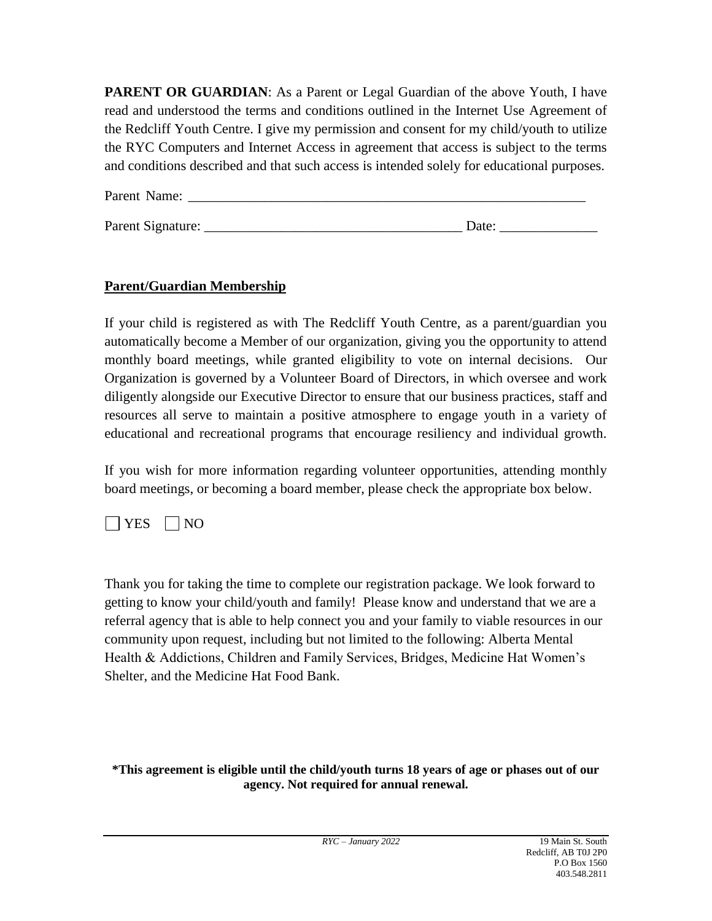**PARENT OR GUARDIAN:** As a Parent or Legal Guardian of the above Youth, I have read and understood the terms and conditions outlined in the Internet Use Agreement of the Redcliff Youth Centre. I give my permission and consent for my child/youth to utilize the RYC Computers and Internet Access in agreement that access is subject to the terms and conditions described and that such access is intended solely for educational purposes.

| Parent Name:      |       |
|-------------------|-------|
|                   |       |
| Parent Signature: | Date: |

# **Parent/Guardian Membership**

If your child is registered as with The Redcliff Youth Centre, as a parent/guardian you automatically become a Member of our organization, giving you the opportunity to attend monthly board meetings, while granted eligibility to vote on internal decisions. Our Organization is governed by a Volunteer Board of Directors, in which oversee and work diligently alongside our Executive Director to ensure that our business practices, staff and resources all serve to maintain a positive atmosphere to engage youth in a variety of educational and recreational programs that encourage resiliency and individual growth.

If you wish for more information regarding volunteer opportunities, attending monthly board meetings, or becoming a board member, please check the appropriate box below.

# $|$  | YES | | NO

Thank you for taking the time to complete our registration package. We look forward to getting to know your child/youth and family! Please know and understand that we are a referral agency that is able to help connect you and your family to viable resources in our community upon request, including but not limited to the following: Alberta Mental Health & Addictions, Children and Family Services, Bridges, Medicine Hat Women's Shelter, and the Medicine Hat Food Bank.

### **\*This agreement is eligible until the child/youth turns 18 years of age or phases out of our agency. Not required for annual renewal.**